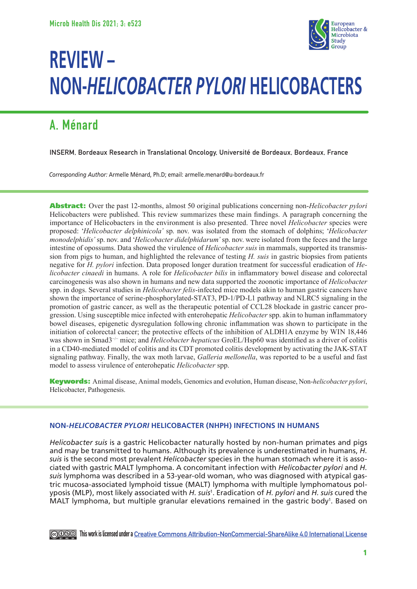

# **REVIEW – NON-***HELICOBACTER PYLORI* **HELICOBACTERS**

## **A. Ménard**

**INSERM, Bordeaux Research in Translational Oncology, Université de Bordeaux, Bordeaux, France**

*Corresponding Author:* Armelle Ménard, Ph.D; email: armelle.menard@u-bordeaux.fr

Abstract: Over the past 12-months, almost 50 original publications concerning non-*Helicobacter pylori*  Helicobacters were published. This review summarizes these main findings. A paragraph concerning the importance of Helicobacters in the environment is also presented. Three novel *Helicobacter* species were proposed: '*Helicobacter delphinicola'* sp. nov. was isolated from the stomach of dolphins; '*Helicobacter monodelphidis'* sp. nov. and '*Helicobacter didelphidarum'* sp. nov. were isolated from the feces and the large intestine of opossums. Data showed the virulence of *Helicobacter suis* in mammals, supported its transmission from pigs to human, and highlighted the relevance of testing *H. suis* in gastric biopsies from patients negative for *H. pylori* infection. Data proposed longer duration treatment for successful eradication of *Helicobacter cinaedi* in humans. A role for *Helicobacter bilis* in inflammatory bowel disease and colorectal carcinogenesis was also shown in humans and new data supported the zoonotic importance of *Helicobacter* spp. in dogs. Several studies in *Helicobacter felis*-infected mice models akin to human gastric cancers have shown the importance of serine-phosphorylated-STAT3, PD-1/PD-L1 pathway and NLRC5 signaling in the promotion of gastric cancer, as well as the therapeutic potential of CCL28 blockade in gastric cancer progression. Using susceptible mice infected with enterohepatic *Helicobacter* spp. akin to human inflammatory bowel diseases, epigenetic dysregulation following chronic inflammation was shown to participate in the initiation of colorectal cancer; the protective effects of the inhibition of ALDH1A enzyme by WIN 18,446 was shown in Smad3−/− mice; and *Helicobacter hepaticus* GroEL/Hsp60 was identified as a driver of colitis in a CD40-mediated model of colitis and its CDT promoted colitis development by activating the JAK-STAT signaling pathway. Finally, the wax moth larvae, *Galleria mellonella*, was reported to be a useful and fast model to assess virulence of enterohepatic *Helicobacter* spp.

Keywords: Animal disease, Animal models, Genomics and evolution, Human disease, Non-*helicobacter pylori*, Helicobacter, Pathogenesis.

### **NON-***HELICOBACTER PYLORI* **HELICOBACTER (NHPH) INFECTIONS IN HUMANS**

*Helicobacter suis* is a gastric Helicobacter naturally hosted by non-human primates and pigs and may be transmitted to humans. Although its prevalence is underestimated in humans, *H. suis* is the second most prevalent *Helicobacter* species in the human stomach where it is associated with gastric MALT lymphoma. A concomitant infection with *Helicobacter pylori* and *H. suis* lymphoma was described in a 53-year-old woman, who was diagnosed with atypical gastric mucosa-associated lymphoid tissue (MALT) lymphoma with multiple lymphomatous polyposis (MLP), most likely associated with *H. suis*<sup>1</sup> . Eradication of *H. pylori* and *H. suis* cured the MALT lymphoma, but multiple granular elevations remained in the gastric body<sup>1</sup>. Based on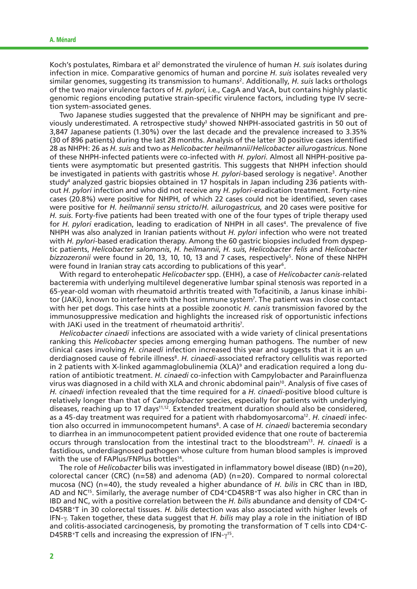Koch's postulates, Rimbara et al<sup>2</sup> demonstrated the virulence of human *H. suis* isolates during infection in mice. Comparative genomics of human and porcine *H. suis* isolates revealed very similar genomes, suggesting its transmission to humans<sup>2</sup>. Additionally, *H. suis* lacks orthologs of the two major virulence factors of *H. pylori*, i.e*.*, CagA and VacA, but contains highly plastic genomic regions encoding putative strain-specific virulence factors, including type IV secretion system-associated genes.

Two Japanese studies suggested that the prevalence of NHPH may be significant and previously underestimated. A retrospective study<sup>3</sup> showed NHPH-associated gastritis in 50 out of 3,847 Japanese patients (1.30%) over the last decade and the prevalence increased to 3.35% (30 of 896 patients) during the last 28 months. Analysis of the latter 30 positive cases identified 28 as NHPH: 26 as *H. suis* and two as *Helicobacter heilmannii*/*Helicobacter ailurogastricus*. None of these NHPH-infected patients were co-infected with *H. pylori*. Almost all NHPH-positive patients were asymptomatic but presented gastritis. This suggests that NHPH infection should be investigated in patients with gastritis whose *H. pylori*-based serology is negative<sup>3</sup>. Another study4 analyzed gastric biopsies obtained in 17 hospitals in Japan including 236 patients without *H. pylori* infection and who did not receive any *H. pylori*-eradication treatment. Forty-nine cases (20.8%) were positive for NHPH, of which 22 cases could not be identified, seven cases were positive for *H. heilmannii sensu stricto*/*H. ailurogastricus*, and 20 cases were positive for *H. suis*. Forty-five patients had been treated with one of the four types of triple therapy used for *H. pylori* eradication, leading to eradication of NHPH in all cases<sup>4</sup>. The prevalence of five NHPH was also analyzed in Iranian patients without *H. pylori* infection who were not treated with *H. pylori-*based eradication therapy. Among the 60 gastric biopsies included from dyspeptic patients, *Helicobacter salomonis*, *H. heilmannii*, *H. suis*, *Helicobacter felis* and *Helicobacter bizzozeronii* were found in 20, 13, 10, 10, 13 and 7 cases, respectively<sup>5</sup>. None of these NHPH were found in Iranian stray cats according to publications of this year<sup>6</sup>.

With regard to enterohepatic *Helicobacter* spp. (EHH), a case of *Helicobacter canis-*related bacteremia with underlying multilevel degenerative lumbar spinal stenosis was reported in a 65-year-old woman with rheumatoid arthritis treated with Tofacitinib, a Janus kinase inhibitor (JAKi), known to interfere with the host immune system7 . The patient was in close contact with her pet dogs. This case hints at a possible zoonotic *H. canis* transmission favored by the immunosuppressive medication and highlights the increased risk of opportunistic infections with JAKi used in the treatment of rheumatoid arthritis<sup>7</sup>.

*Helicobacter cinaedi* infections are associated with a wide variety of clinical presentations ranking this *Helicobacter* species among emerging human pathogens. The number of new clinical cases involving *H. cinaedi* infection increased this year and suggests that it is an underdiagnosed cause of febrile illness8. *H. cinaedi*-associated refractory cellulitis was reported in 2 patients with X-linked agammaglobulinemia (XLA)<sup>9</sup> and eradication required a long duration of antibiotic treatment. *H. cinaedi* co-infection with Campylobacter and Parainfluenza virus was diagnosed in a child with XLA and chronic abdominal pain<sup>10</sup>. Analysis of five cases of *H. cinaedi* infection revealed that the time required for a *H. cinaedi*-positive blood culture is relatively longer than that of *Campylobacter* species, especially for patients with underlying diseases, reaching up to 17 days<sup>11,12</sup>. Extended treatment duration should also be considered, as a 45-day treatment was required for a patient with rhabdomyosarcoma<sup>12</sup>. *H. cinaedi* infection also occurred in immunocompetent humans8. A case of *H. cinaedi* bacteremia secondary to diarrhea in an immunocompetent patient provided evidence that one route of bacteremia occurs through translocation from the intestinal tract to the bloodstream13. *H. cinaedi* is a fastidious, underdiagnosed pathogen whose culture from human blood samples is improved with the use of FAPlus/FNPlus bottles<sup>14</sup>.

The role of *Helicobacter* bilis was investigated in inflammatory bowel disease (IBD) (n=20), colorectal cancer (CRC) (n=58) and adenoma (AD) (n=20). Compared to normal colorectal mucosa (NC) (n=40), the study revealed a higher abundance of *H. bilis* in CRC than in IBD, AD and NC<sup>15</sup>. Similarly, the average number of CD4<sup>+</sup>CD45RB<sup>+</sup>T was also higher in CRC than in IBD and NC, with a positive correlation between the *H. bilis* abundance and density of CD4+C-D45RB+T in 30 colorectal tissues. *H. bilis* detection was also associated with higher levels of IFN-γ. Taken together, these data suggest that *H. bilis* may play a role in the initiation of IBD and colitis-associated carcinogenesis, by promoting the transformation of T cells into CD4+C-D45RB+T cells and increasing the expression of  $IFN-\gamma^{15}$ .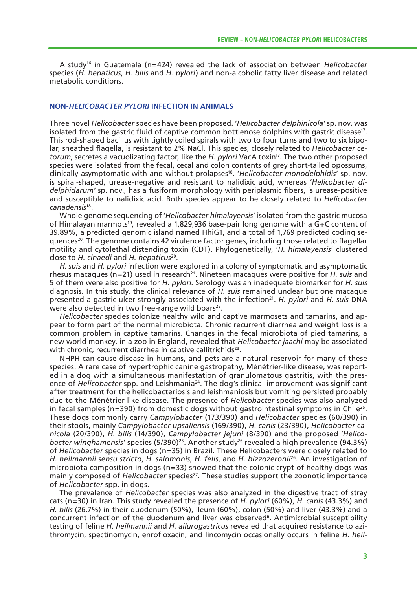A study16 in Guatemala (n=424) revealed the lack of association between *Helicobacter* species (*H. hepaticus*, *H. bilis* and *H. pylori*) and non-alcoholic fatty liver disease and related metabolic conditions.

#### **NON-***HELICOBACTER PYLORI* **INFECTION IN ANIMALS**

Three novel *Helicobacter* species have been proposed. '*Helicobacter delphinicola'* sp. nov. was isolated from the gastric fluid of captive common bottlenose dolphins with gastric disease<sup>17</sup>. This rod-shaped bacillus with tightly coiled spirals with two to four turns and two to six bipolar, sheathed flagella, is resistant to 2% NaCl. This species, closely related to *Helicobacter cetorum*, secretes a vacuolizating factor, like the *H. pylori* VacA toxin17. The two other proposed species were isolated from the fecal, cecal and colon contents of grey short-tailed opossums, clinically asymptomatic with and without prolapses18. '*Helicobacter monodelphidis*' sp. nov. is spiral-shaped, urease-negative and resistant to nalidixic acid, whereas '*Helicobacter didelphidarum'* sp. nov., has a fusiform morphology with periplasmic fibers, is urease-positive and susceptible to nalidixic acid. Both species appear to be closely related to *Helicobacter canadensis*18.

Whole genome sequencing of '*Helicobacter himalayensis*' isolated from the gastric mucosa of Himalayan marmots<sup>19</sup>, revealed a 1,829,936 base-pair long genome with a G+C content of 39.89%, a predicted genomic island named HhiG1, and a total of 1,769 predicted coding seguences<sup>20</sup>. The genome contains 42 virulence factor genes, including those related to flagellar motility and cytolethal distending toxin (CDT). Phylogenetically, '*H. himalayensis*' clustered close to *H. cinaedi* and *H. hepaticus*20.

*H. suis* and *H. pylori* infection were explored in a colony of symptomatic and asymptomatic rhesus macaques (n=21) used in research<sup>21</sup>. Nineteen macaques were positive for *H. suis* and 5 of them were also positive for *H. pylori*. Serology was an inadequate biomarker for *H. suis* diagnosis. In this study, the clinical relevance of *H. suis* remained unclear but one macaque presented a gastric ulcer strongly associated with the infection<sup>21</sup>. *H. pylori* and *H. suis* DNA were also detected in two free-range wild boars<sup>22</sup>.

*Helicobacter* species colonize healthy wild and captive marmosets and tamarins, and appear to form part of the normal microbiota. Chronic recurrent diarrhea and weight loss is a common problem in captive tamarins. Changes in the fecal microbiota of pied tamarins, a new world monkey, in a zoo in England, revealed that *Helicobacter jaachi* may be associated with chronic, recurrent diarrhea in captive callitrichids<sup>23</sup>.

NHPH can cause disease in humans, and pets are a natural reservoir for many of these species. A rare case of hypertrophic canine gastropathy, Ménétrier-like disease, was reported in a dog with a simultaneous manifestation of granulomatous gastritis, with the presence of *Helicobacter* spp. and Leishmania<sup>24</sup>. The dog's clinical improvement was significant after treatment for the helicobacteriosis and leishmaniosis but vomiting persisted probably due to the Ménétrier-like disease. The presence of *Helicobacter* species was also analyzed in fecal samples ( $n=390$ ) from domestic dogs without gastrointestinal symptoms in Chile<sup>25</sup>. These dogs commonly carry *Campylobacter* (173/390) and *Helicobacter* species (60/390) in their stools, mainly *Campylobacter upsaliensis* (169/390), *H. canis* (23/390), *Helicobacter canicola* (20/390), *H. bilis* (14/390), *Campylobacter jejuni* (8/390) and the proposed '*Helico*bacter winghamensis' species (5/390)<sup>25</sup>. Another study<sup>26</sup> revealed a high prevalence (94.3%) of *Helicobacter* species in dogs (n=35) in Brazil. These Helicobacters were closely related to *H. heilmannii sensu stricto*, *H. salomonis*, *H. felis*, and *H. bizzozeronii*26. An investigation of microbiota composition in dogs (n=33) showed that the colonic crypt of healthy dogs was mainly composed of *Helicobacter* species<sup>27</sup>. These studies support the zoonotic importance of *Helicobacter* spp. in dogs.

The prevalence of *Helicobacter* species was also analyzed in the digestive tract of stray cats (n=30) in Iran. This study revealed the presence of *H. pylori* (60%), *H. canis* (43.3%) and *H. bilis* (26.7%) in their duodenum (50%), ileum (60%), colon (50%) and liver (43.3%) and a concurrent infection of the duodenum and liver was observed<sup>6</sup>. Antimicrobial susceptibility testing of feline *H. heilmannii* and *H. ailurogastricus* revealed that acquired resistance to azithromycin, spectinomycin, enrofloxacin, and lincomycin occasionally occurs in feline *H. heil-*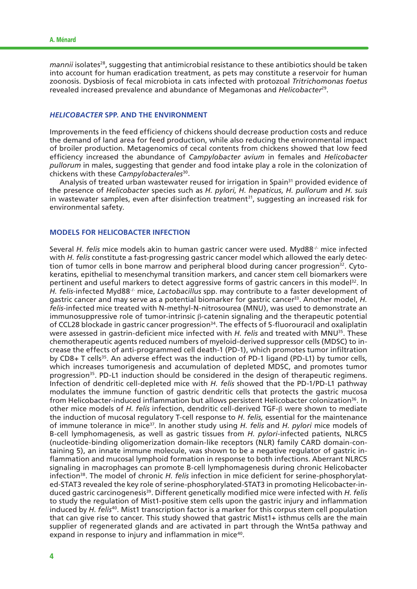*mannii* isolates<sup>28</sup>, suggesting that antimicrobial resistance to these antibiotics should be taken into account for human eradication treatment, as pets may constitute a reservoir for human zoonosis. Dysbiosis of fecal microbiota in cats infected with protozoal *Tritrichomonas foetus* revealed increased prevalence and abundance of Megamonas and *Helicobacter*29.

#### *HELICOBACTER* **SPP. AND THE ENVIRONMENT**

Improvements in the feed efficiency of chickens should decrease production costs and reduce the demand of land area for feed production, while also reducing the environmental impact of broiler production. Metagenomics of cecal contents from chickens showed that low feed efficiency increased the abundance of *Campylobacter avium* in females and *Helicobacter pullorum* in males, suggesting that gender and food intake play a role in the colonization of chickens with these *Campylobacterales*30.

Analysis of treated urban wastewater reused for irrigation in Spain<sup>31</sup> provided evidence of the presence of *Helicobacter* species such as *H. pylori*, *H. hepaticus*, *H. pullorum* and *H. suis* in wastewater samples, even after disinfection treatment<sup>31</sup>, suggesting an increased risk for environmental safety.

#### **MODELS FOR HELICOBACTER INFECTION**

Several *H. felis* mice models akin to human gastric cancer were used. Myd88-/- mice infected with *H. felis* constitute a fast-progressing gastric cancer model which allowed the early detection of tumor cells in bone marrow and peripheral blood during cancer progression<sup>32</sup>. Cytokeratins, epithelial to mesenchymal transition markers, and cancer stem cell biomarkers were pertinent and useful markers to detect aggressive forms of gastric cancers in this model<sup>32</sup>. In *H. felis*-infected Myd88-/- mice, *Lactobacillus* spp. may contribute to a faster development of gastric cancer and may serve as a potential biomarker for gastric cancer<sup>33</sup>. Another model, *H. felis*-infected mice treated with N-methyl-N-nitrosourea (MNU), was used to demonstrate an immunosuppressive role of tumor-intrinsic β-catenin signaling and the therapeutic potential of CCL28 blockade in gastric cancer progression<sup>34</sup>. The effects of 5-fluorouracil and oxaliplatin were assessed in gastrin-deficient mice infected with *H. felis* and treated with MNU<sup>35</sup>. These chemotherapeutic agents reduced numbers of myeloid-derived suppressor cells (MDSC) to increase the effects of anti-programmed cell death-1 (PD-1), which promotes tumor infiltration by CD8+ T cells<sup>35</sup>. An adverse effect was the induction of PD-1 ligand (PD-L1) by tumor cells, which increases tumorigenesis and accumulation of depleted MDSC, and promotes tumor progression<sup>35</sup>. PD-L1 induction should be considered in the design of therapeutic regimens. Infection of dendritic cell-depleted mice with *H. felis* showed that the PD-1/PD-L1 pathway modulates the immune function of gastric dendritic cells that protects the gastric mucosa from Helicobacter-induced inflammation but allows persistent Helicobacter colonization36*.* In other mice models of *H. felis* infection, dendritic cell-derived TGF-β were shown to mediate the induction of mucosal regulatory T-cell response to *H. felis,* essential for the maintenance of immune tolerance in mice37. In another study using *H. felis* and *H. pylori* mice models of B-cell lymphomagenesis, as well as gastric tissues from *H. pylori*-infected patients, NLRC5 (nucleotide-binding oligomerization domain-like receptors (NLR) family CARD domain-containing 5), an innate immune molecule, was shown to be a negative regulator of gastric inflammation and mucosal lymphoid formation in response to both infections. Aberrant NLRC5 signaling in macrophages can promote B-cell lymphomagenesis during chronic Helicobacter infection<sup>38</sup>. The model of chronic *H. felis* infection in mice deficient for serine-phosphorylated-STAT3 revealed the key role of serine-phosphorylated-STAT3 in promoting Helicobacter-induced gastric carcinogenesis39. Different genetically modified mice were infected with *H. felis*  to study the regulation of Mist1-positive stem cells upon the gastric injury and inflammation induced by *H. felis*<sup>40</sup>*.* Mist1 transcription factor is a marker for this corpus stem cell population that can give rise to cancer. This study showed that gastric Mist1+ isthmus cells are the main supplier of regenerated glands and are activated in part through the Wnt5a pathway and expand in response to injury and inflammation in mice40*.*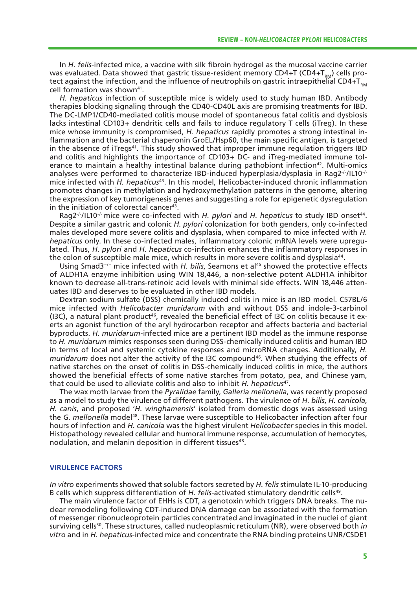In *H. felis*-infected mice, a vaccine with silk fibroin hydrogel as the mucosal vaccine carrier was evaluated. Data showed that gastric tissue-resident memory CD4+T (CD4+T<sub>oM</sub>) cells protect against the infection, and the influence of neutrophils on gastric intraepithelial CD4+ $T_{\text{max}}$ cell formation was shown<sup>41</sup>.

*H. hepaticus* infection of susceptible mice is widely used to study human IBD. Antibody therapies blocking signaling through the CD40-CD40L axis are promising treatments for IBD. The DC-LMP1/CD40-mediated colitis mouse model of spontaneous fatal colitis and dysbiosis lacks intestinal CD103+ dendritic cells and fails to induce regulatory T cells (iTreg). In these mice whose immunity is compromised, *H. hepaticus* rapidly promotes a strong intestinal inflammation and the bacterial chaperonin GroEL/Hsp60, the main specific antigen, is targeted in the absence of iTregs<sup>41</sup>. This study showed that improper immune regulation triggers IBD and colitis and highlights the importance of CD103+ DC- and iTreg-mediated immune tolerance to maintain a healthy intestinal balance during pathobiont infection<sup>42</sup>. Multi-omics analyses were performed to characterize IBD-induced hyperplasia/dysplasia in Rag2<sup>-/-</sup>/IL10<sup>-/-</sup> mice infected with *H. hepaticus*43. In this model, Helicobacter-induced chronic inflammation promotes changes in methylation and hydroxymethylation patterns in the genome, altering the expression of key tumorigenesis genes and suggesting a role for epigenetic dysregulation in the initiation of colorectal cancer<sup>43</sup>.

Rag2-/-/IL10-/- mice were co-infected with *H. pylori* and *H. hepaticus* to study IBD onset44. Despite a similar gastric and colonic *H. pylori* colonization for both genders, only co-infected males developed more severe colitis and dysplasia, when compared to mice infected with *H. hepaticus* only. In these co-infected males, inflammatory colonic mRNA levels were upregulated. Thus, *H. pylori* and *H. hepaticus* co-infection enhances the inflammatory responses in the colon of susceptible male mice, which results in more severe colitis and dysplasia44.

Using Smad3−/− mice infected with *H. bilis*, Seamons et al45 showed the protective effects of ALDH1A enzyme inhibition using WIN 18,446, a non-selective potent ALDH1A inhibitor known to decrease all-trans-retinoic acid levels with minimal side effects. WIN 18,446 attenuates IBD and deserves to be evaluated in other IBD models.

Dextran sodium sulfate (DSS) chemically induced colitis in mice is an IBD model. C57BL/6 mice infected with *Helicobacter muridarum* with and without DSS and indole-3-carbinol (I3C), a natural plant product<sup>46</sup>, revealed the beneficial effect of I3C on colitis because it exerts an agonist function of the aryl hydrocarbon receptor and affects bacteria and bacterial byproducts. *H. muridarum*-infected mice are a pertinent IBD model as the immune response to *H. muridarum* mimics responses seen during DSS-chemically induced colitis and human IBD in terms of local and systemic cytokine responses and microRNA changes. Additionally, *H. muridarum* does not alter the activity of the I3C compound<sup>46</sup>. When studying the effects of native starches on the onset of colitis in DSS-chemically induced colitis in mice, the authors showed the beneficial effects of some native starches from potato, pea, and Chinese yam, that could be used to alleviate colitis and also to inhibit *H. hepaticus*47.

The wax moth larvae from the *Pyralidae* family, *Galleria mellonella*, was recently proposed as a model to study the virulence of different pathogens. The virulence of *H. bilis*, *H. canicola*, *H. canis*, and proposed '*H. winghamensis*' isolated from domestic dogs was assessed using the *G. mellonella* model48. These larvae were susceptible to Helicobacter infection after four hours of infection and *H. canicola* was the highest virulent *Helicobacter* species in this model. Histopathology revealed cellular and humoral immune response, accumulation of hemocytes, nodulation, and melanin deposition in different tissues<sup>48</sup>.

#### **VIRULENCE FACTORS**

*In vitro* experiments showed that soluble factors secreted by *H. felis* stimulate IL-10-producing B cells which suppress differentiation of *H. felis*-activated stimulatory dendritic cells49.

The main virulence factor of EHHs is CDT, a genotoxin which triggers DNA breaks. The nuclear remodeling following CDT-induced DNA damage can be associated with the formation of messenger ribonucleoprotein particles concentrated and invaginated in the nuclei of giant surviving cells50. These structures, called nucleoplasmic reticulum (NR), were observed both *in vitro* and in *H. hepaticus*-infected mice and concentrate the RNA binding proteins UNR/CSDE1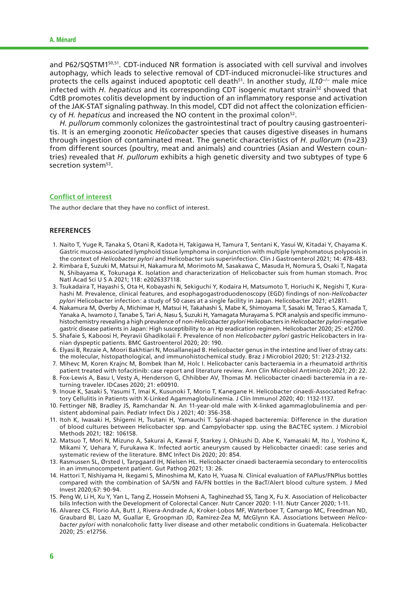and P62/SQSTM150,51. CDT-induced NR formation is associated with cell survival and involves autophagy, which leads to selective removal of CDT-induced micronuclei-like structures and protects the cells against induced apoptotic cell death51. In another study, *IL10*−/− male mice infected with *H. hepaticus* and its corresponding CDT isogenic mutant strain<sup>52</sup> showed that CdtB promotes colitis development by induction of an inflammatory response and activation of the JAK-STAT signaling pathway. In this model, CDT did not affect the colonization efficiency of *H. hepaticus* and increased the NO content in the proximal colon<sup>52</sup>.

*H. pullorum* commonly colonizes the gastrointestinal tract of poultry causing gastroenteritis. It is an emerging zoonotic *Helicobacter* species that causes digestive diseases in humans through ingestion of contaminated meat. The genetic characteristics of *H. pullorum* (n=23) from different sources (poultry, meat and animals) and countries (Asian and Western countries) revealed that *H. pullorum* exhibits a high genetic diversity and two subtypes of type 6 secretion system<sup>53</sup>.

#### **Conflict of interest**

The author declare that they have no conflict of interest.

#### **REFERENCES**

- 1. Naito T, Yuge R, Tanaka S, Otani R, Kadota H, Takigawa H, Tamura T, Sentani K, Yasui W, Kitadai Y, Chayama K. Gastric mucosa-associated lymphoid tissue lymphoma in conjunction with multiple lymphomatous polyposis in the context of *Helicobacter pylori* and Helicobacter suis superinfection. Clin J Gastroenterol 2021; 14: 478-483.
- 2. Rimbara E, Suzuki M, Matsui H, Nakamura M, Morimoto M, Sasakawa C, Masuda H, Nomura S, Osaki T, Nagata N, Shibayama K, Tokunaga K. Isolation and characterization of Helicobacter suis from human stomach. Proc Natl Acad Sci U S A 2021; 118: e2026337118.
- 3. Tsukadaira T, Hayashi S, Ota H, Kobayashi N, Sekiguchi Y, Kodaira H, Matsumoto T, Horiuchi K, Negishi T, Kurahashi M. Prevalence, clinical features, and esophagogastroduodenoscopy (EGD) findings of non-*Helicobacter pylori* Helicobacter infection: a study of 50 cases at a single facility in Japan. Helicobacter 2021; e12811.
- 4. Nakamura M, Øverby A, Michimae H, Matsui H, Takahashi S, Mabe K, Shimoyama T, Sasaki M, Terao S, Kamada T, Yanaka A, Iwamoto J, Tanabe S, Tari A, Nasu S, Suzuki H, Yamagata Murayama S. PCR analysis and specific immunohistochemistry revealing a high prevalence of non-*Helicobacter pylori* Helicobacters in *Helicobacter pylori*-negative gastric disease patients in Japan: High susceptibility to an Hp eradication regimen. Helicobacter 2020; 25: e12700.
- 5. Shafaie S, Kaboosi H, Peyravii Ghadikolaii F. Prevalence of non *Helicobacter pylori* gastric Helicobacters in Iranian dyspeptic patients. BMC Gastroenterol 2020; 20: 190.
- 6. Elyasi B, Rezaie A, Moori Bakhtiari N, Mosallanejad B. Helicobacter genus in the intestine and liver of stray cats: the molecular, histopathological, and immunohistochemical study. Braz J Microbiol 2020; 51: 2123-2132.
- 7. Mihevc M, Koren Krajnc M, Bombek Ihan M, Holc I. Helicobacter canis bacteraemia in a rheumatoid arthritis patient treated with tofacitinib: case report and literature review. Ann Clin Microbiol Antimicrob 2021; 20: 22.
- 8. Fox-Lewis A, Basu I, Vesty A, Henderson G, Chhibber AV, Thomas M. Helicobacter cinaedi bacteremia in a returning traveler. IDCases 2020; 21: e00910.
- 9. Inoue K, Sasaki S, Yasumi T, Imai K, Kusunoki T, Morio T, Kanegane H. Helicobacter cinaedi-Associated Refractory Cellulitis in Patients with X-Linked Agammaglobulinemia. J Clin Immunol 2020; 40: 1132-1137.
- 10. Fettinger NB, Bradley JS, Ramchandar N. An 11-year-old male with X-linked agammaglobulinemia and persistent abdominal pain. Pediatr Infect Dis J 2021; 40: 356-358.
- 11. Itoh K, Iwasaki H, Shigemi H, Tsutani H, Yamauchi T. Spiral-shaped bacteremia: Difference in the duration of blood cultures between Helicobacter spp. and Campylobacter spp. using the BACTEC system. J Microbiol Methods 2021; 182: 106158.
- 12. Matsuo T, Mori N, Mizuno A, Sakurai A, Kawai F, Starkey J, Ohkushi D, Abe K, Yamasaki M, Ito J, Yoshino K, Mikami Y, Uehara Y, Furukawa K. Infected aortic aneurysm caused by Helicobacter cinaedi: case series and systematic review of the literature. BMC Infect Dis 2020; 20: 854.
- 13. Rasmussen SL, Ørsted I, Tarpgaard IH, Nielsen HL. Helicobacter cinaedi bacteraemia secondary to enterocolitis in an immunocompetent patient. Gut Pathog 2021; 13: 26.
- 14. Hattori T, Nishiyama H, Ikegami S, Minoshima M, Kato H, Yuasa N. Clinical evaluation of FAPlus/FNPlus bottles compared with the combination of SA/SN and FA/FN bottles in the BacT/Alert blood culture system. J Med Invest 2020;67: 90-94.
- 15. Peng W, Li H, Xu Y, Yan L, Tang Z, Hossein Mohseni A, Taghinezhad SS, Tang X, Fu X. Association of Helicobacter bilis Infection with the Development of Colorectal Cancer. Nutr Cancer 2020: 1-11. Nutr Cancer 2020; 1-11.
- 16. Alvarez CS, Florio AA, Butt J, Rivera-Andrade A, Kroker-Lobos MF, Waterboer T, Camargo MC, Freedman ND, Graubard BI, Lazo M, Guallar E, Groopman JD, Ramírez-Zea M, McGlynn KA. Associations between *Helicobacter pylori* with nonalcoholic fatty liver disease and other metabolic conditions in Guatemala. Helicobacter 2020; 25: e12756.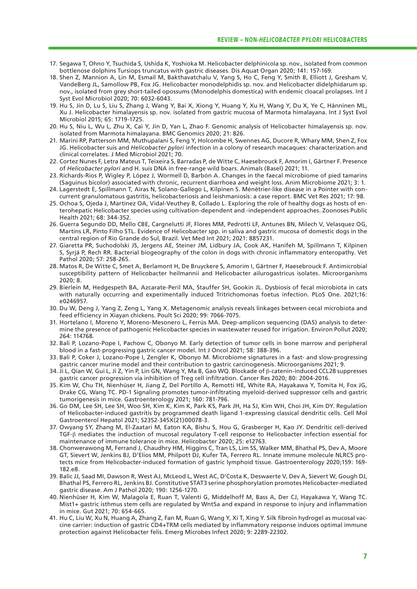- 17. Segawa T, Ohno Y, Tsuchida S, Ushida K, Yoshioka M. Helicobacter delphinicola sp. nov., isolated from common bottlenose dolphins Tursiops truncatus with gastric diseases. Dis Aquat Organ 2020; 141: 157-169.
- 18. Shen Z, Mannion A, Lin M, Esmail M, Bakthavatchalu V, Yang S, Ho C, Feng Y, Smith B, Elliott J, Gresham V, VandeBerg JL, Samollow PB, Fox JG. Helicobacter monodelphidis sp. nov. and Helicobacter didelphidarum sp. nov., isolated from grey short-tailed opossums (Monodelphis domestica) with endemic cloacal prolapses. Int J Syst Evol Microbiol 2020; 70: 6032-6043.
- 19. Hu S, Jin D, Lu S, Liu S, Zhang J, Wang Y, Bai X, Xiong Y, Huang Y, Xu H, Wang Y, Du X, Ye C, Hänninen ML, Xu J. Helicobacter himalayensis sp. nov. isolated from gastric mucosa of Marmota himalayana. Int J Syst Evol Microbiol 2015; 65: 1719-1725.
- 20. Hu S, Niu L, Wu L, Zhu X, Cai Y, Jin D, Yan L, Zhao F. Genomic analysis of Helicobacter himalayensis sp. nov. isolated from Marmota himalayana. BMC Genomics 2020; 21: 826.
- 21. Marini RP, Patterson MM, Muthupalani S, Feng Y, Holcombe H, Swennes AG, Ducore R, Whary MM, Shen Z, Fox JG. Helicobacter suis and *Helicobacter pylori* infection in a colony of research macaques: characterization and clinical correlates. J Med Microbiol 2021; 70.
- 22. Cortez Nunes F, Letra Mateus T, Teixeira S, Barradas P, de Witte C, Haesebrouck F, Amorim I, Gärtner F. Presence of *Helicobacter pylori* and H. suis DNA in free-range wild boars. Animals (Basel) 2021; 11.
- 23. Richards-Rios P, Wigley P, López J, Wormell D, Barbón A. Changes in the faecal microbiome of pied tamarins (Saguinus bicolor) associated with chronic, recurrent diarrhoea and weight loss. Anim Microbiome 2021; 3: 1.
- 24. Lagerstedt E, Spillmann T, Airas N, Solano-Gallego L, Kilpinen S. Ménétrier-like disease in a Pointer with concurrent granulomatous gastritis, helicobacteriosis and leishmaniosis: a case report. BMC Vet Res 2021; 17: 98.
- 25. Ochoa S, Ojeda J, Martínez OA, Vidal-Veuthey B, Collado L. Exploring the role of healthy dogs as hosts of enterohepatic Helicobacter species using cultivation-dependent and -independent approaches. Zoonoses Public Health 2021; 68: 344-352.
- 26. Guerra Segundo DD, Mello CBE, Cargnelutti JF, Flores MM, Pedrotti LF, Antunes BN, Milech V, Velasquez OG, Martins LR, Pinto Filho STL. Evidence of Helicobacter spp. in saliva and gastric mucosa of domestic dogs in the central region of Rio Grande do Sul, Brazil. Vet Med Int 2021; 2021: 8857231.
- 27. Giaretta PR, Suchodolski JS, Jergens AE, Steiner JM, Lidbury JA, Cook AK, Hanifeh M, Spillmann T, Kilpinen S, Syrjä P, Rech RR. Bacterial biogeography of the colon in dogs with chronic inflammatory enteropathy. Vet Pathol 2020; 57: 258-265.
- 28. Matos R, De Witte C, Smet A, Berlamont H, De Bruyckere S, Amorim I, Gärtner F, Haesebrouck F. Antimicrobial susceptibility pattern of Helicobacter heilmannii and Helicobacter ailurogastricus isolates. Microorganisms 2020; 8.
- 29. Bierlein M, Hedgespeth BA, Azcarate-Peril MA, Stauffer SH, Gookin JL. Dysbiosis of fecal microbiota in cats with naturally occurring and experimentally induced Tritrichomonas foetus infection. PLoS One. 2021;16: e0246957.
- 30. Du W, Deng J, Yang Z, Zeng L, Yang X. Metagenomic analysis reveals linkages between cecal microbiota and feed efficiency in Xiayan chickens. Poult Sci 2020; 99: 7066-7075.
- 31. Hortelano I, Moreno Y, Moreno-Mesonero L, Ferrús MA. Deep-amplicon sequencing (DAS) analysis to determine the presence of pathogenic Helicobacter species in wastewater reused for irrigation. Environ Pollut 2020; 264: 114768.
- 32. Bali P, Lozano-Pope I, Pachow C, Obonyo M. Early detection of tumor cells in bone marrow and peripheral blood in a fast-progressing gastric cancer model. Int J Oncol 2021; 58: 388-396.
- 33. Bali P, Coker J, Lozano-Pope I, Zengler K, Obonyo M. Microbiome signatures in a fast- and slow-progressing gastric cancer murine model and their contribution to gastric carcinogenesis. Microorganisms 2021; 9.
- 34. Ji L, Qian W, Gui L, Ji Z, Yin P, Lin GN, Wang Y, Ma B, Gao WQ. Blockade of β-catenin-induced CCL28 suppresses gastric cancer progression via inhibition of Treg cell infiltration. Cancer Res 2020; 80: 2004-2016.
- 35. Kim W, Chu TH, Nienhüser H, Jiang Z, Del Portillo A, Remotti HE, White RA, Hayakawa Y, Tomita H, Fox JG, Drake CG, Wang TC. PD-1 Signaling promotes tumor-infiltrating myeloid-derived suppressor cells and gastric tumorigenesis in mice. Gastroenterology 2021; 160: 781-796.
- 36. Go DM, Lee SH, Lee SH, Woo SH, Kim K, Kim K, Park KS, Park JH, Ha SJ, Kim WH, Choi JH, Kim DY. Regulation of Helicobacter-induced gastritis by programmed death ligand 1-expressing classical dendritic cells. Cell Mol Gastroenterol Hepatol 2021; S2352-345X(21)00078-3.
- 37. Owyang SY, Zhang M, El-Zaatari M, Eaton KA, Bishu S, Hou G, Grasberger H, Kao JY. Dendritic cell-derived TGF-β mediates the induction of mucosal regulatory T-cell response to Helicobacter infection essential for maintenance of immune tolerance in mice. Helicobacter 2020; 25: e12763.
- 38. Chonwerawong M, Ferrand J, Chaudhry HM, Higgins C, Tran LS, Lim SS, Walker MM, Bhathal PS, Dev A, Moore GT, Sievert W, Jenkins BJ, D'Elios MM, Philpott DJ, Kufer TA, Ferrero RL. Innate immune molecule NLRC5 protects mice from Helicobacter-induced formation of gastric lymphoid tissue. Gastroenterology 2020;159: 169- 182.e8.
- 39. Balic JJ, Saad MI, Dawson R, West AJ, McLeod L, West AC, D'Costa K, Deswaerte V, Dev A, Sievert W, Gough DJ, Bhathal PS, Ferrero RL, Jenkins BJ. Constitutive STAT3 serine phosphorylation promotes Helicobacter-mediated gastric disease. Am J Pathol 2020; 190: 1256-1270.
- 40. Nienhüser H, Kim W, Malagola E, Ruan T, Valenti G, Middelhoff M, Bass A, Der CJ, Hayakawa Y, Wang TC. Mist1+ gastric isthmus stem cells are regulated by Wnt5a and expand in response to injury and inflammation in mice. Gut 2021; 70: 654-665.
- 41. Hu C, Liu W, Xu N, Huang A, Zhang Z, Fan M, Ruan G, Wang Y, Xi T, Xing Y. Silk fibroin hydrogel as mucosal vaccine carrier: induction of gastric CD4+TRM cells mediated by inflammatory response induces optimal immune protection against Helicobacter felis. Emerg Microbes Infect 2020; 9: 2289-22302.